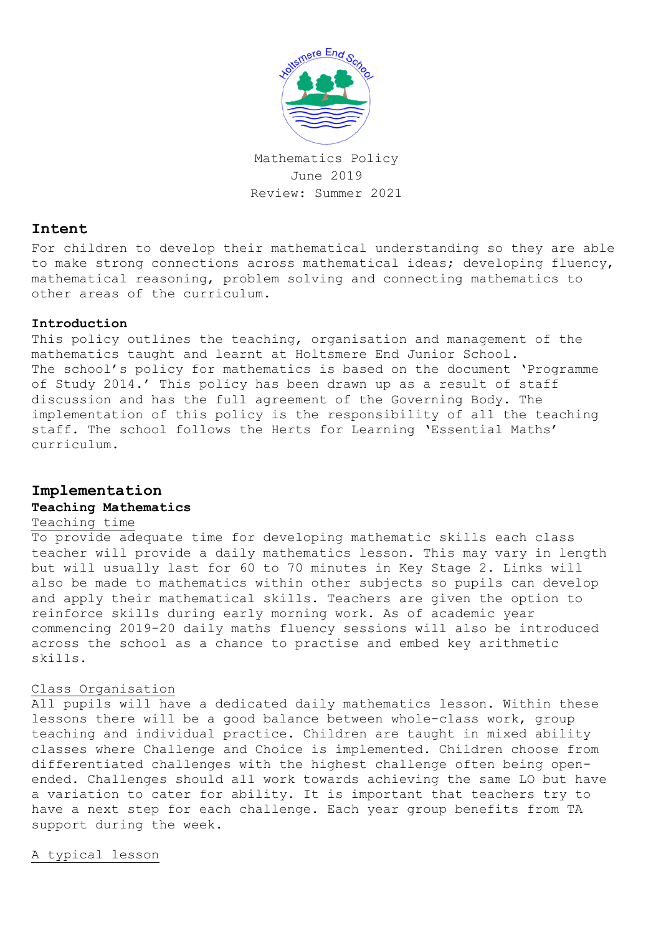

Mathematics Policy June 2019 Review: Summer 2021

## **Intent**

For children to develop their mathematical understanding so they are able to make strong connections across mathematical ideas; developing fluency, mathematical reasoning, problem solving and connecting mathematics to other areas of the curriculum.

### **Introduction**

This policy outlines the teaching, organisation and management of the mathematics taught and learnt at Holtsmere End Junior School. The school's policy for mathematics is based on the document 'Programme of Study 2014.' This policy has been drawn up as a result of staff discussion and has the full agreement of the Governing Body. The implementation of this policy is the responsibility of all the teaching staff. The school follows the Herts for Learning 'Essential Maths' curriculum.

# **Implementation**

### **Teaching Mathematics**

## Teaching time

To provide adequate time for developing mathematic skills each class teacher will provide a daily mathematics lesson. This may vary in length but will usually last for 60 to 70 minutes in Key Stage 2. Links will also be made to mathematics within other subjects so pupils can develop and apply their mathematical skills. Teachers are given the option to reinforce skills during early morning work. As of academic year commencing 2019-20 daily maths fluency sessions will also be introduced across the school as a chance to practise and embed key arithmetic skills.

### Class Organisation

All pupils will have a dedicated daily mathematics lesson. Within these lessons there will be a good balance between whole-class work, group teaching and individual practice. Children are taught in mixed ability classes where Challenge and Choice is implemented. Children choose from differentiated challenges with the highest challenge often being openended. Challenges should all work towards achieving the same LO but have a variation to cater for ability. It is important that teachers try to have a next step for each challenge. Each year group benefits from TA support during the week.

A typical lesson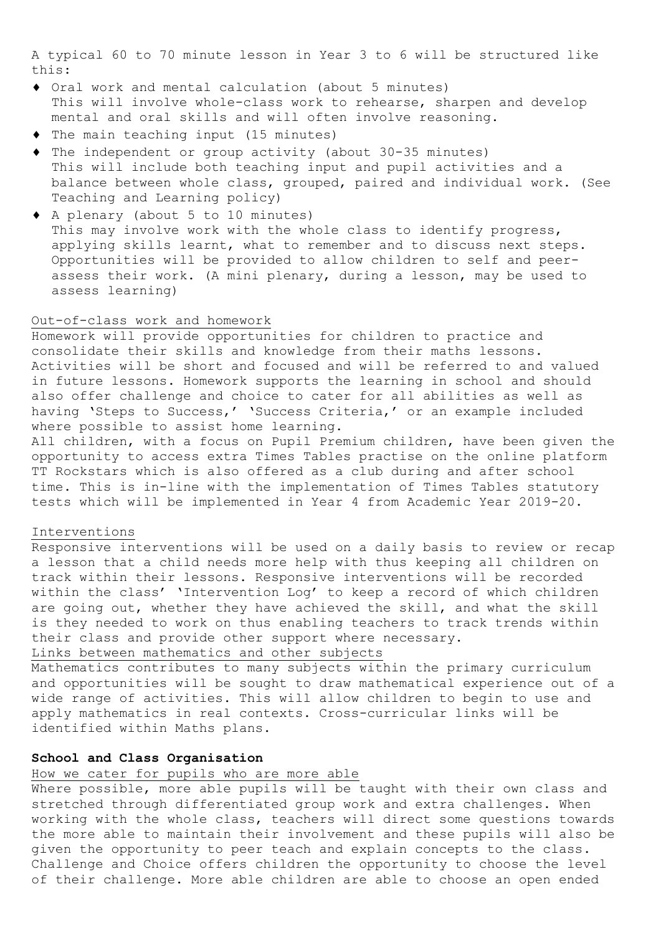A typical 60 to 70 minute lesson in Year 3 to 6 will be structured like this:

- Oral work and mental calculation (about 5 minutes) This will involve whole-class work to rehearse, sharpen and develop mental and oral skills and will often involve reasoning.
- The main teaching input (15 minutes)
- The independent or group activity (about 30-35 minutes) This will include both teaching input and pupil activities and a balance between whole class, grouped, paired and individual work. (See Teaching and Learning policy)
- A plenary (about 5 to 10 minutes) This may involve work with the whole class to identify progress, applying skills learnt, what to remember and to discuss next steps. Opportunities will be provided to allow children to self and peerassess their work. (A mini plenary, during a lesson, may be used to assess learning)

### Out-of-class work and homework

Homework will provide opportunities for children to practice and consolidate their skills and knowledge from their maths lessons. Activities will be short and focused and will be referred to and valued in future lessons. Homework supports the learning in school and should also offer challenge and choice to cater for all abilities as well as having 'Steps to Success,' 'Success Criteria,' or an example included where possible to assist home learning.

All children, with a focus on Pupil Premium children, have been given the opportunity to access extra Times Tables practise on the online platform TT Rockstars which is also offered as a club during and after school time. This is in-line with the implementation of Times Tables statutory tests which will be implemented in Year 4 from Academic Year 2019-20.

### Interventions

Responsive interventions will be used on a daily basis to review or recap a lesson that a child needs more help with thus keeping all children on track within their lessons. Responsive interventions will be recorded within the class' 'Intervention Log' to keep a record of which children are going out, whether they have achieved the skill, and what the skill is they needed to work on thus enabling teachers to track trends within their class and provide other support where necessary.

Links between mathematics and other subjects

Mathematics contributes to many subjects within the primary curriculum and opportunities will be sought to draw mathematical experience out of a wide range of activities. This will allow children to begin to use and apply mathematics in real contexts. Cross-curricular links will be identified within Maths plans.

### **School and Class Organisation**

## How we cater for pupils who are more able

Where possible, more able pupils will be taught with their own class and stretched through differentiated group work and extra challenges. When working with the whole class, teachers will direct some questions towards the more able to maintain their involvement and these pupils will also be given the opportunity to peer teach and explain concepts to the class. Challenge and Choice offers children the opportunity to choose the level of their challenge. More able children are able to choose an open ended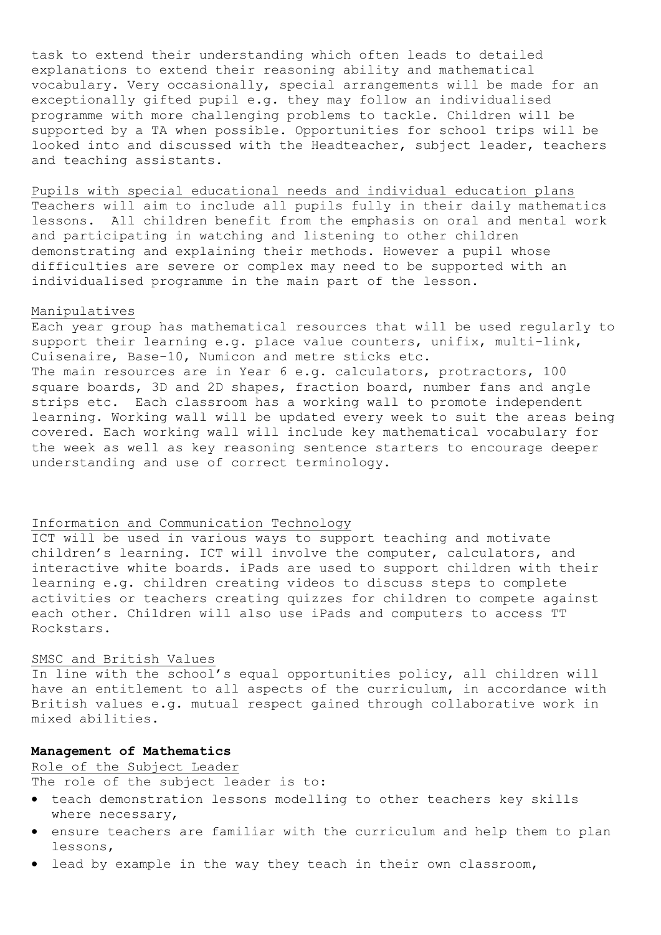task to extend their understanding which often leads to detailed explanations to extend their reasoning ability and mathematical vocabulary. Very occasionally, special arrangements will be made for an exceptionally gifted pupil e.g. they may follow an individualised programme with more challenging problems to tackle. Children will be supported by a TA when possible. Opportunities for school trips will be looked into and discussed with the Headteacher, subject leader, teachers and teaching assistants.

### Pupils with special educational needs and individual education plans

Teachers will aim to include all pupils fully in their daily mathematics lessons. All children benefit from the emphasis on oral and mental work and participating in watching and listening to other children demonstrating and explaining their methods. However a pupil whose difficulties are severe or complex may need to be supported with an individualised programme in the main part of the lesson.

## Manipulatives

Each year group has mathematical resources that will be used regularly to support their learning e.g. place value counters, unifix, multi-link, Cuisenaire, Base-10, Numicon and metre sticks etc. The main resources are in Year 6 e.g. calculators, protractors, 100 square boards, 3D and 2D shapes, fraction board, number fans and angle strips etc. Each classroom has a working wall to promote independent learning. Working wall will be updated every week to suit the areas being covered. Each working wall will include key mathematical vocabulary for the week as well as key reasoning sentence starters to encourage deeper understanding and use of correct terminology.

### Information and Communication Technology

ICT will be used in various ways to support teaching and motivate children's learning. ICT will involve the computer, calculators, and interactive white boards. iPads are used to support children with their learning e.g. children creating videos to discuss steps to complete activities or teachers creating quizzes for children to compete against each other. Children will also use iPads and computers to access TT Rockstars.

### SMSC and British Values

In line with the school's equal opportunities policy, all children will have an entitlement to all aspects of the curriculum, in accordance with British values e.g. mutual respect gained through collaborative work in mixed abilities.

### **Management of Mathematics**

### Role of the Subject Leader

The role of the subject leader is to:

- teach demonstration lessons modelling to other teachers key skills where necessary,
- ensure teachers are familiar with the curriculum and help them to plan lessons,
- lead by example in the way they teach in their own classroom,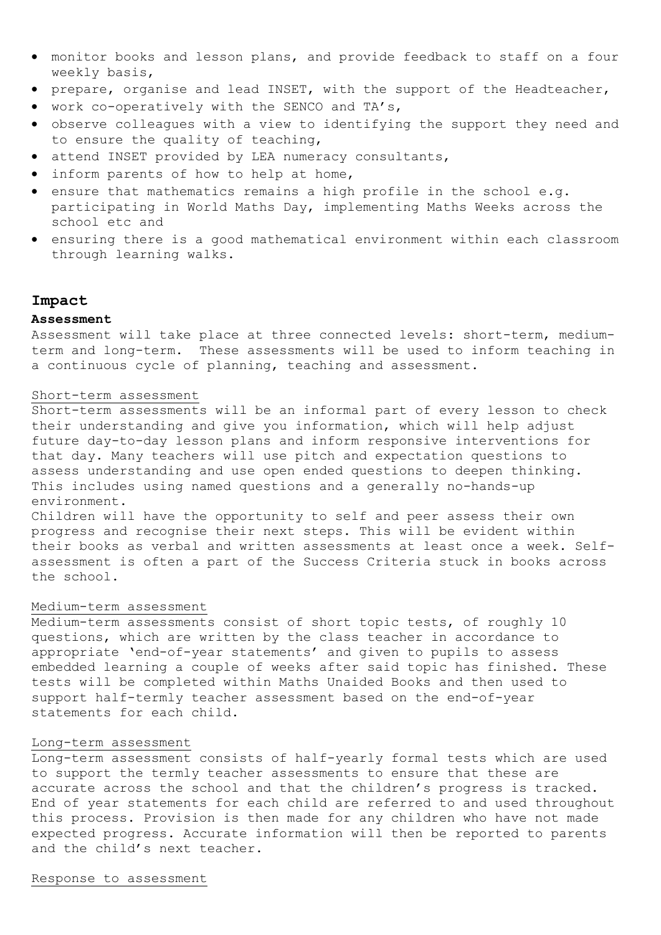- monitor books and lesson plans, and provide feedback to staff on a four weekly basis,
- prepare, organise and lead INSET, with the support of the Headteacher,
- work co-operatively with the SENCO and TA's,
- observe colleagues with a view to identifying the support they need and to ensure the quality of teaching,
- attend INSET provided by LEA numeracy consultants,
- inform parents of how to help at home,
- ensure that mathematics remains a high profile in the school e.g. participating in World Maths Day, implementing Maths Weeks across the school etc and
- ensuring there is a good mathematical environment within each classroom through learning walks.

### **Impact**

#### **Assessment**

Assessment will take place at three connected levels: short-term, mediumterm and long-term. These assessments will be used to inform teaching in a continuous cycle of planning, teaching and assessment.

### Short-term assessment

Short-term assessments will be an informal part of every lesson to check their understanding and give you information, which will help adjust future day-to-day lesson plans and inform responsive interventions for that day. Many teachers will use pitch and expectation questions to assess understanding and use open ended questions to deepen thinking. This includes using named questions and a generally no-hands-up environment.

Children will have the opportunity to self and peer assess their own progress and recognise their next steps. This will be evident within their books as verbal and written assessments at least once a week. Selfassessment is often a part of the Success Criteria stuck in books across the school.

### Medium-term assessment

Medium-term assessments consist of short topic tests, of roughly 10 questions, which are written by the class teacher in accordance to appropriate 'end-of-year statements' and given to pupils to assess embedded learning a couple of weeks after said topic has finished. These tests will be completed within Maths Unaided Books and then used to support half-termly teacher assessment based on the end-of-year statements for each child.

#### Long-term assessment

Long-term assessment consists of half-yearly formal tests which are used to support the termly teacher assessments to ensure that these are accurate across the school and that the children's progress is tracked. End of year statements for each child are referred to and used throughout this process. Provision is then made for any children who have not made expected progress. Accurate information will then be reported to parents and the child's next teacher.

#### Response to assessment